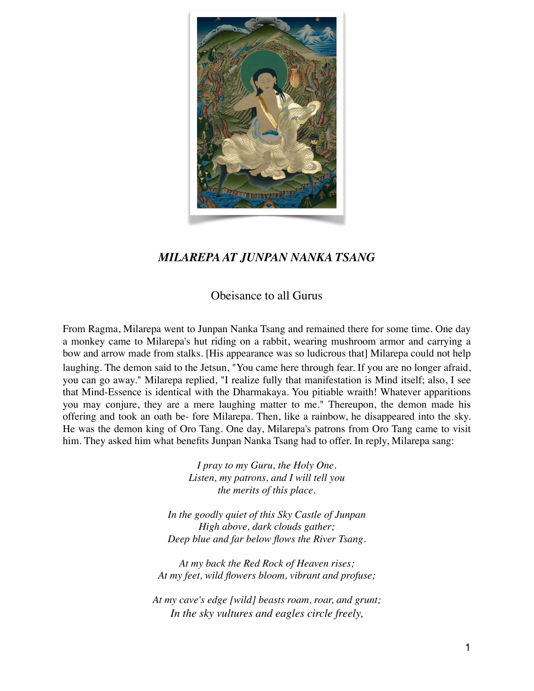

## *MILAREPA AT JUNPAN NANKA TSANG*

### Obeisance to all Gurus

From Ragma, Milarepa went to Junpan Nanka Tsang and remained there for some time. One day a monkey came to Milarepa's hut riding on a rabbit, wearing mushroom armor and carrying a bow and arrow made from stalks. [His appearance was so ludicrous that] Milarepa could not help laughing. The demon said to the Jetsun, "You came here through fear. If you are no longer afraid, you can go away." Milarepa replied, "I realize fully that manifestation is Mind itself; also, I see that Mind-Essence is identical with the Dharmakaya. You pitiable wraith! Whatever apparitions you may conjure, they are a mere laughing matter to me." Thereupon, the demon made his offering and took an oath be- fore Milarepa. Then, like a rainbow, he disappeared into the sky. He was the demon king of Oro Tang. One day, Milarepa's patrons from Oro Tang came to visit him. They asked him what benefits Junpan Nanka Tsang had to offer. In reply, Milarepa sang:

> *I pray to my Guru, the Holy One. Listen, my patrons, and I will tell you the merits of this place.*

*In the goodly quiet of this Sky Castle of Junpan High above, dark clouds gather; Deep blue and far below flows the River Tsang.*

*At my back the Red Rock of Heaven rises; At my feet, wild flowers bloom, vibrant and profuse;* 

*At my cave's edge [wild] beasts roam, roar, and grunt; In the sky vultures and eagles circle freely,*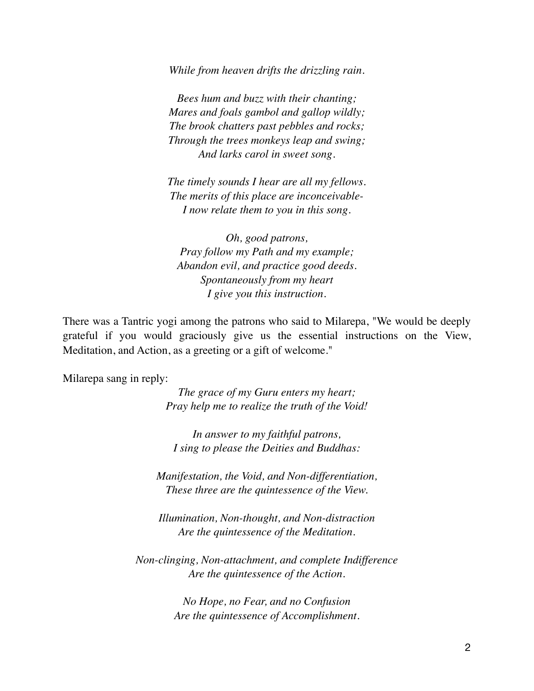*While from heaven drifts the drizzling rain.* 

*Bees hum and buzz with their chanting; Mares and foals gambol and gallop wildly; The brook chatters past pebbles and rocks; Through the trees monkeys leap and swing; And larks carol in sweet song.* 

*The timely sounds I hear are all my fellows. The merits of this place are inconceivable-I now relate them to you in this song.* 

*Oh, good patrons, Pray follow my Path and my example; Abandon evil, and practice good deeds. Spontaneously from my heart I give you this instruction.* 

There was a Tantric yogi among the patrons who said to Milarepa, "We would be deeply grateful if you would graciously give us the essential instructions on the View, Meditation, and Action, as a greeting or a gift of welcome."

Milarepa sang in reply:

*The grace of my Guru enters my heart; Pray help me to realize the truth of the Void!* 

*In answer to my faithful patrons, I sing to please the Deities and Buddhas:* 

*Manifestation, the Void, and Non-differentiation, These three are the quintessence of the View.* 

*Illumination, Non-thought, and Non-distraction Are the quintessence of the Meditation.* 

*Non-clinging, Non-attachment, and complete Indifference Are the quintessence of the Action.* 

> *No Hope, no Fear, and no Confusion Are the quintessence of Accomplishment.*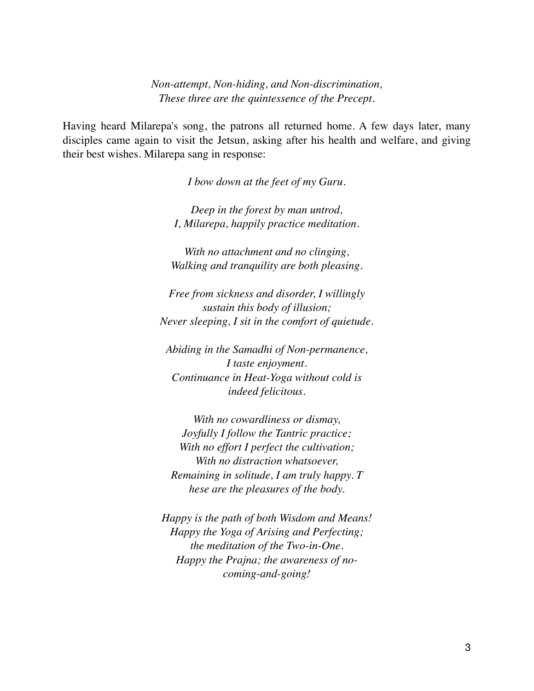*Non-attempt, Non-hiding, and Non-discrimination, These three are the quintessence of the Precept.* 

Having heard Milarepa's song, the patrons all returned home. A few days later, many disciples came again to visit the Jetsun, asking after his health and welfare, and giving their best wishes. Milarepa sang in response:

*I bow down at the feet of my Guru.* 

*Deep in the forest by man untrod, I, Milarepa, happily practice meditation.* 

*With no attachment and no clinging, Walking and tranquility are both pleasing.* 

*Free from sickness and disorder, I willingly sustain this body of illusion; Never sleeping, I sit in the comfort of quietude.* 

*Abiding in the Samadhi of Non-permanence, I taste enjoyment. Continuance in Heat-Yoga without cold is indeed felicitous.* 

*With no cowardliness or dismay, Joyfully I follow the Tantric practice; With no effort I perfect the cultivation; With no distraction whatsoever, Remaining in solitude, I am truly happy. T hese are the pleasures of the body.* 

*Happy is the path of both Wisdom and Means! Happy the Yoga of Arising and Perfecting; the meditation of the Two-in-One. Happy the Prajna; the awareness of nocoming-and-going!*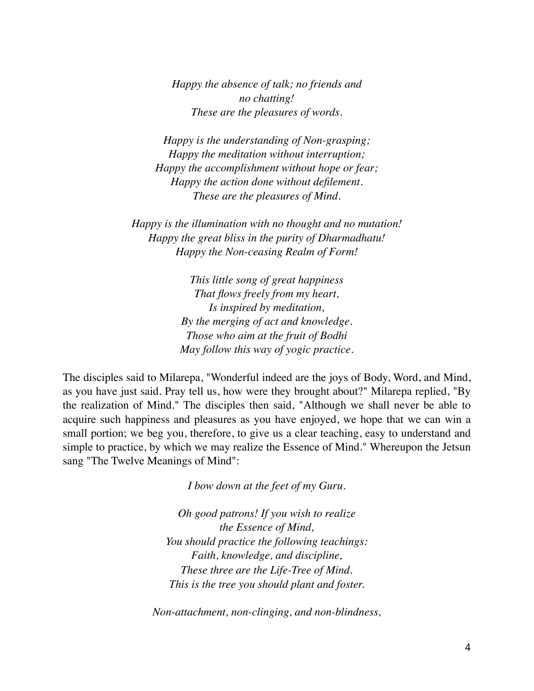*Happy the absence of talk; no friends and no chatting! These are the pleasures of words.* 

*Happy is the understanding of Non-grasping; Happy the meditation without interruption; Happy the accomplishment without hope or fear; Happy the action done without defilement. These are the pleasures of Mind.* 

*Happy is the illumination with no thought and no mutation! Happy the great bliss in the purity of Dharmadhatu! Happy the Non-ceasing Realm of Form!* 

> *This little song of great happiness That flows freely from my heart, Is inspired by meditation, By the merging of act and knowledge. Those who aim at the fruit of Bodhi May follow this way of yogic practice.*

The disciples said to Milarepa, "Wonderful indeed are the joys of Body, Word, and Mind, as you have just said. Pray tell us, how were they brought about?" Milarepa replied, "By the realization of Mind." The disciples then said, "Although we shall never be able to acquire such happiness and pleasures as you have enjoyed, we hope that we can win a small portion; we beg you, therefore, to give us a clear teaching, easy to understand and simple to practice, by which we may realize the Essence of Mind." Whereupon the Jetsun sang "The Twelve Meanings of Mind":

*I bow down at the feet of my Guru.* 

*Oh good patrons! If you wish to realize the Essence of Mind, You should practice the following teachings: Faith, knowledge, and discipline, These three are the Life-Tree of Mind. This is the tree you should plant and foster.* 

*Non-attachment, non-clinging, and non-blindness,*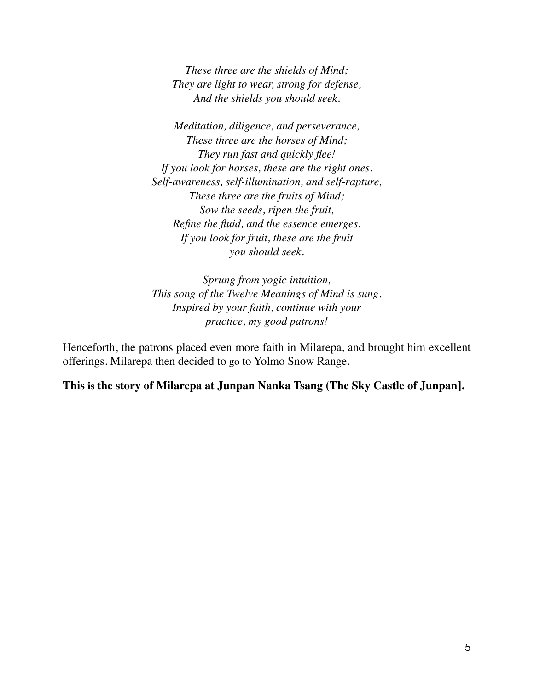*These three are the shields of Mind; They are light to wear, strong for defense, And the shields you should seek.* 

*Meditation, diligence, and perseverance, These three are the horses of Mind; They run fast and quickly flee! If you look for horses, these are the right ones. Self-awareness, self-illumination, and self-rapture, These three are the fruits of Mind; Sow the seeds, ripen the fruit, Refine the fluid, and the essence emerges. If you look for fruit, these are the fruit you should seek.* 

*Sprung from yogic intuition, This song of the Twelve Meanings of Mind is sung. Inspired by your faith, continue with your practice, my good patrons!* 

Henceforth, the patrons placed even more faith in Milarepa, and brought him excellent offerings. Milarepa then decided to go to Yolmo Snow Range.

**This is the story of Milarepa at Junpan Nanka Tsang (The Sky Castle of Junpan].**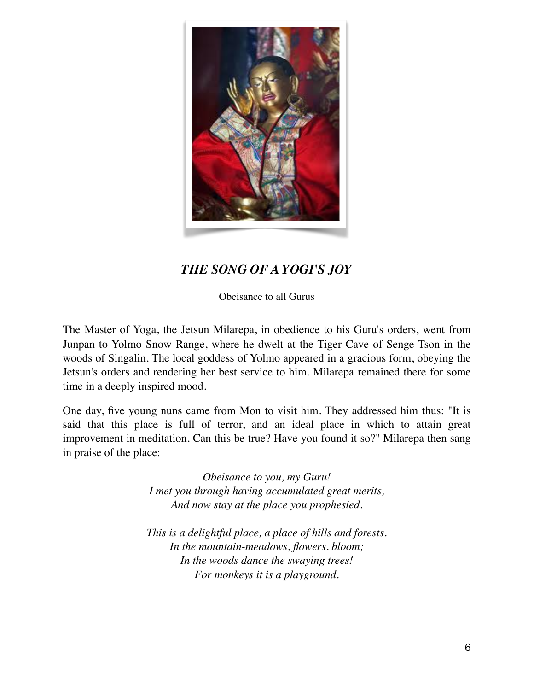

# *THE SONG OF A YOGI'S JOY*

Obeisance to all Gurus

The Master of Yoga, the Jetsun Milarepa, in obedience to his Guru's orders, went from Junpan to Yolmo Snow Range, where he dwelt at the Tiger Cave of Senge Tson in the woods of Singalin. The local goddess of Yolmo appeared in a gracious form, obeying the Jetsun's orders and rendering her best service to him. Milarepa remained there for some time in a deeply inspired mood.

One day, five young nuns came from Mon to visit him. They addressed him thus: "It is said that this place is full of terror, and an ideal place in which to attain great improvement in meditation. Can this be true? Have you found it so?" Milarepa then sang in praise of the place:

> *Obeisance to you, my Guru! I met you through having accumulated great merits, And now stay at the place you prophesied.*

*This is a delightful place, a place of hills and forests. In the mountain-meadows, flowers. bloom; In the woods dance the swaying trees! For monkeys it is a playground.*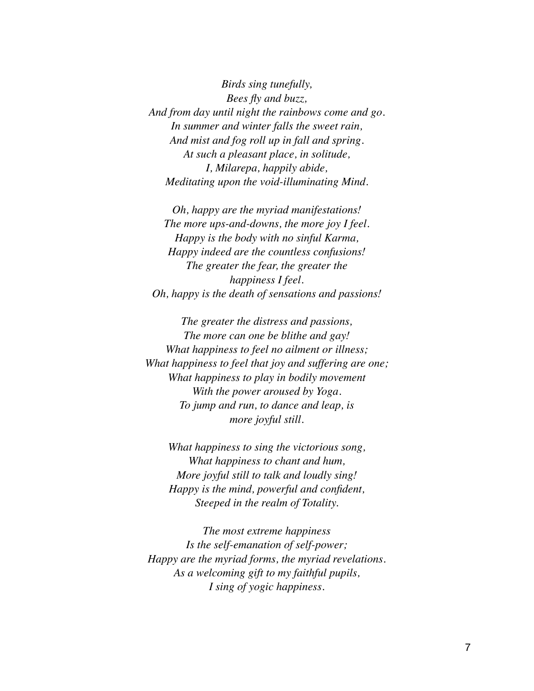*Birds sing tunefully, Bees fly and buzz, And from day until night the rainbows come and go. In summer and winter falls the sweet rain, And mist and fog roll up in fall and spring. At such a pleasant place, in solitude, I, Milarepa, happily abide, Meditating upon the void-illuminating Mind.* 

*Oh, happy are the myriad manifestations! The more ups-and-downs, the more joy I feel. Happy is the body with no sinful Karma, Happy indeed are the countless confusions! The greater the fear, the greater the happiness I feel. Oh, happy is the death of sensations and passions!* 

*The greater the distress and passions, The more can one be blithe and gay! What happiness to feel no ailment or illness; What happiness to feel that joy and suffering are one; What happiness to play in bodily movement With the power aroused by Yoga. To jump and run, to dance and leap, is more joyful still.* 

*What happiness to sing the victorious song, What happiness to chant and hum, More joyful still to talk and loudly sing! Happy is the mind, powerful and confident, Steeped in the realm of Totality.* 

*The most extreme happiness Is the self-emanation of self-power; Happy are the myriad forms, the myriad revelations. As a welcoming gift to my faithful pupils, I sing of yogic happiness.*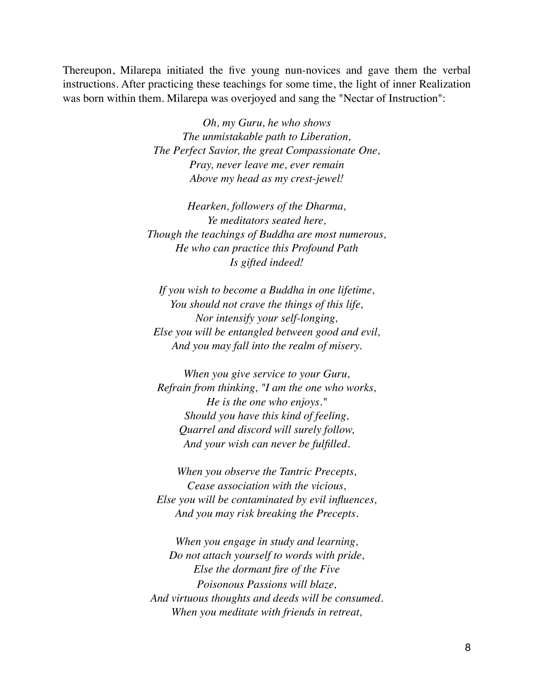Thereupon, Milarepa initiated the five young nun-novices and gave them the verbal instructions. After practicing these teachings for some time, the light of inner Realization was born within them. Milarepa was overjoyed and sang the "Nectar of Instruction":

> *Oh, my Guru, he who shows The unmistakable path to Liberation, The Perfect Savior, the great Compassionate One, Pray, never leave me, ever remain Above my head as my crest-jewel!*

*Hearken, followers of the Dharma, Ye meditators seated here, Though the teachings of Buddha are most numerous, He who can practice this Profound Path Is gifted indeed!* 

*If you wish to become a Buddha in one lifetime, You should not crave the things of this life, Nor intensify your self-longing, Else you will be entangled between good and evil, And you may fall into the realm of misery.* 

*When you give service to your Guru, Refrain from thinking, "I am the one who works, He is the one who enjoys." Should you have this kind of feeling, Quarrel and discord will surely follow, And your wish can never be fulfilled.* 

*When you observe the Tantric Precepts, Cease association with the vicious, Else you will be contaminated by evil influences, And you may risk breaking the Precepts.* 

*When you engage in study and learning, Do not attach yourself to words with pride, Else the dormant fire of the Five Poisonous Passions will blaze, And virtuous thoughts and deeds will be consumed. When you meditate with friends in retreat,*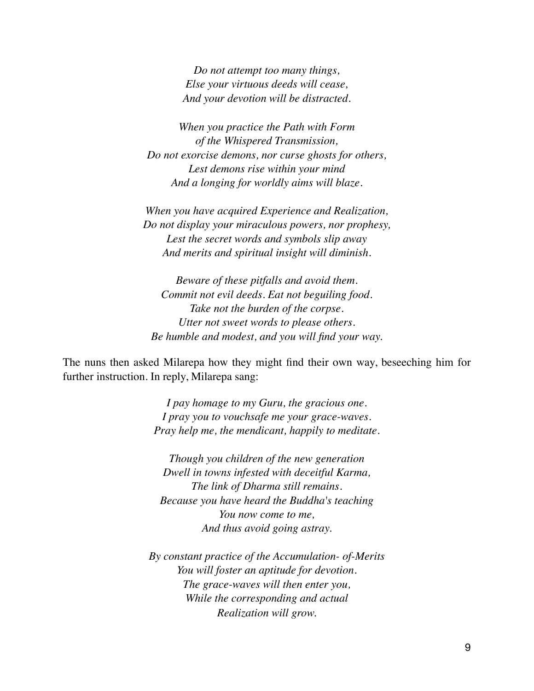*Do not attempt too many things, Else your virtuous deeds will cease, And your devotion will be distracted.* 

*When you practice the Path with Form of the Whispered Transmission, Do not exorcise demons, nor curse ghosts for others, Lest demons rise within your mind And a longing for worldly aims will blaze.* 

*When you have acquired Experience and Realization, Do not display your miraculous powers, nor prophesy, Lest the secret words and symbols slip away And merits and spiritual insight will diminish.* 

*Beware of these pitfalls and avoid them. Commit not evil deeds. Eat not beguiling food. Take not the burden of the corpse. Utter not sweet words to please others. Be humble and modest, and you will find your way.* 

The nuns then asked Milarepa how they might find their own way, beseeching him for further instruction. In reply, Milarepa sang:

> *I pay homage to my Guru, the gracious one. I pray you to vouchsafe me your grace-waves. Pray help me, the mendicant, happily to meditate.*

*Though you children of the new generation Dwell in towns infested with deceitful Karma, The link of Dharma still remains. Because you have heard the Buddha's teaching You now come to me, And thus avoid going astray.* 

*By constant practice of the Accumulation- of-Merits You will foster an aptitude for devotion. The grace-waves will then enter you, While the corresponding and actual Realization will grow.*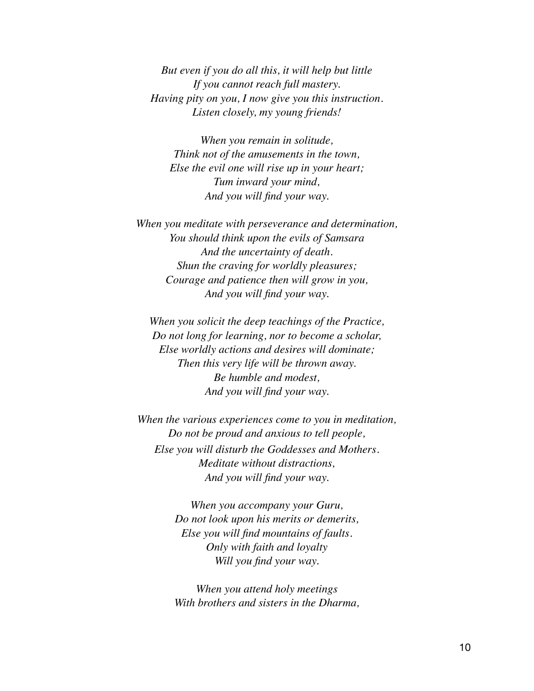*But even if you do all this, it will help but little If you cannot reach full mastery. Having pity on you, I now give you this instruction. Listen closely, my young friends!* 

*When you remain in solitude, Think not of the amusements in the town, Else the evil one will rise up in your heart; Tum inward your mind, And you will find your way.* 

*When you meditate with perseverance and determination, You should think upon the evils of Samsara And the uncertainty of death. Shun the craving for worldly pleasures; Courage and patience then will grow in you, And you will find your way.* 

*When you solicit the deep teachings of the Practice, Do not long for learning, nor to become a scholar, Else worldly actions and desires will dominate; Then this very life will be thrown away. Be humble and modest, And you will find your way.* 

*When the various experiences come to you in meditation, Do not be proud and anxious to tell people, Else you will disturb the Goddesses and Mothers. Meditate without distractions, And you will find your way.* 

> *When you accompany your Guru, Do not look upon his merits or demerits, Else you will find mountains of faults. Only with faith and loyalty Will you find your way.*

> *When you attend holy meetings With brothers and sisters in the Dharma,*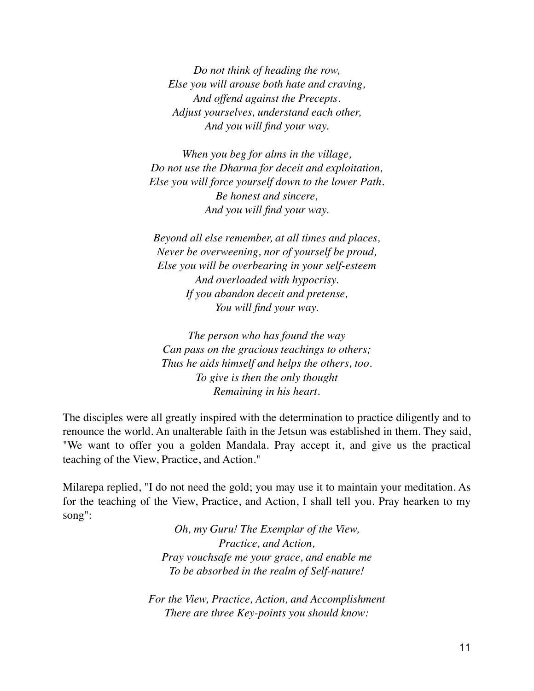*Do not think of heading the row, Else you will arouse both hate and craving, And offend against the Precepts. Adjust yourselves, understand each other, And you will find your way.* 

*When you beg for alms in the village, Do not use the Dharma for deceit and exploitation, Else you will force yourself down to the lower Path. Be honest and sincere, And you will find your way.* 

*Beyond all else remember, at all times and places, Never be overweening, nor of yourself be proud, Else you will be overbearing in your self-esteem And overloaded with hypocrisy. If you abandon deceit and pretense, You will find your way.* 

*The person who has found the way Can pass on the gracious teachings to others; Thus he aids himself and helps the others, too. To give is then the only thought Remaining in his heart.* 

The disciples were all greatly inspired with the determination to practice diligently and to renounce the world. An unalterable faith in the Jetsun was established in them. They said, "We want to offer you a golden Mandala. Pray accept it, and give us the practical teaching of the View, Practice, and Action."

Milarepa replied, "I do not need the gold; you may use it to maintain your meditation. As for the teaching of the View, Practice, and Action, I shall tell you. Pray hearken to my song":

> *Oh, my Guru! The Exemplar of the View, Practice, and Action, Pray vouchsafe me your grace, and enable me To be absorbed in the realm of Self-nature!*

*For the View, Practice, Action, and Accomplishment There are three Key-points you should know:*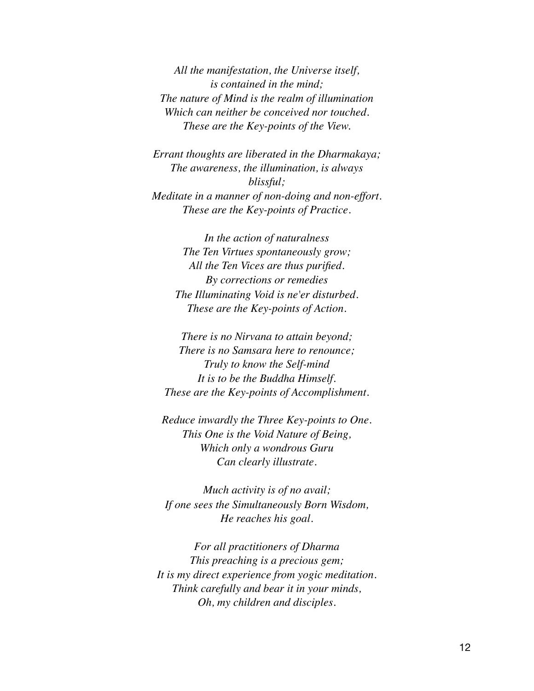*All the manifestation, the Universe itself, is contained in the mind; The nature of Mind is the realm of illumination Which can neither be conceived nor touched. These are the Key-points of the View.* 

*Errant thoughts are liberated in the Dharmakaya; The awareness, the illumination, is always blissful; Meditate in a manner of non-doing and non-effort. These are the Key-points of Practice.* 

> *In the action of naturalness The Ten Virtues spontaneously grow; All the Ten Vices are thus purified. By corrections or remedies The Illuminating Void is ne'er disturbed. These are the Key-points of Action.*

*There is no Nirvana to attain beyond; There is no Samsara here to renounce; Truly to know the Self-mind It is to be the Buddha Himself. These are the Key-points of Accomplishment.* 

*Reduce inwardly the Three Key-points to One. This One is the Void Nature of Being, Which only a wondrous Guru Can clearly illustrate.* 

*Much activity is of no avail; If one sees the Simultaneously Born Wisdom, He reaches his goal.* 

*For all practitioners of Dharma This preaching is a precious gem; It is my direct experience from yogic meditation. Think carefully and bear it in your minds, Oh, my children and disciples.*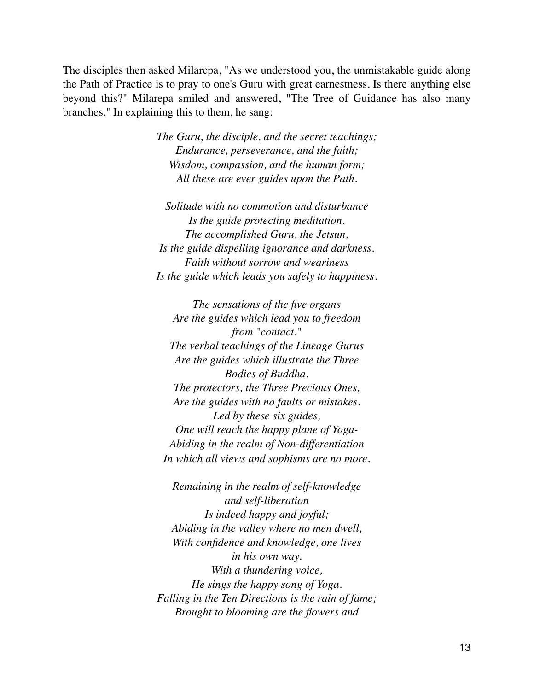The disciples then asked Milarcpa, "As we understood you, the unmistakable guide along the Path of Practice is to pray to one's Guru with great earnestness. Is there anything else beyond this?" Milarepa smiled and answered, "The Tree of Guidance has also many branches." In explaining this to them, he sang:

> *The Guru, the disciple, and the secret teachings; Endurance, perseverance, and the faith; Wisdom, compassion, and the human form; All these are ever guides upon the Path.*

> *Solitude with no commotion and disturbance Is the guide protecting meditation. The accomplished Guru, the Jetsun, Is the guide dispelling ignorance and darkness. Faith without sorrow and weariness Is the guide which leads you safely to happiness.*

*The sensations of the five organs Are the guides which lead you to freedom from "contact." The verbal teachings of the Lineage Gurus Are the guides which illustrate the Three Bodies of Buddha. The protectors, the Three Precious Ones, Are the guides with no faults or mistakes. Led by these six guides, One will reach the happy plane of Yoga-Abiding in the realm of Non-differentiation In which all views and sophisms are no more.* 

*Remaining in the realm of self-knowledge and self-liberation Is indeed happy and joyful; Abiding in the valley where no men dwell, With confidence and knowledge, one lives in his own way. With a thundering voice, He sings the happy song of Yoga. Falling in the Ten Directions is the rain of fame; Brought to blooming are the flowers and*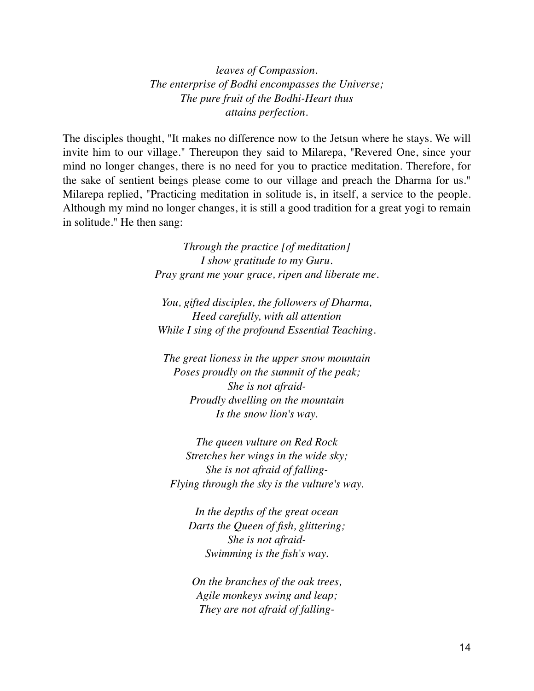*leaves of Compassion. The enterprise of Bodhi encompasses the Universe; The pure fruit of the Bodhi-Heart thus attains perfection.* 

The disciples thought, "It makes no difference now to the Jetsun where he stays. We will invite him to our village." Thereupon they said to Milarepa, "Revered One, since your mind no longer changes, there is no need for you to practice meditation. Therefore, for the sake of sentient beings please come to our village and preach the Dharma for us." Milarepa replied, "Practicing meditation in solitude is, in itself, a service to the people. Although my mind no longer changes, it is still a good tradition for a great yogi to remain in solitude." He then sang:

> *Through the practice [of meditation] I show gratitude to my Guru. Pray grant me your grace, ripen and liberate me.*

*You, gifted disciples, the followers of Dharma, Heed carefully, with all attention While I sing of the profound Essential Teaching.* 

*The great lioness in the upper snow mountain Poses proudly on the summit of the peak; She is not afraid-Proudly dwelling on the mountain Is the snow lion's way.* 

*The queen vulture on Red Rock Stretches her wings in the wide sky; She is not afraid of falling-Flying through the sky is the vulture's way.* 

*In the depths of the great ocean Darts the Queen of fish, glittering; She is not afraid-Swimming is the fish's way.* 

*On the branches of the oak trees, Agile monkeys swing and leap; They are not afraid of falling-*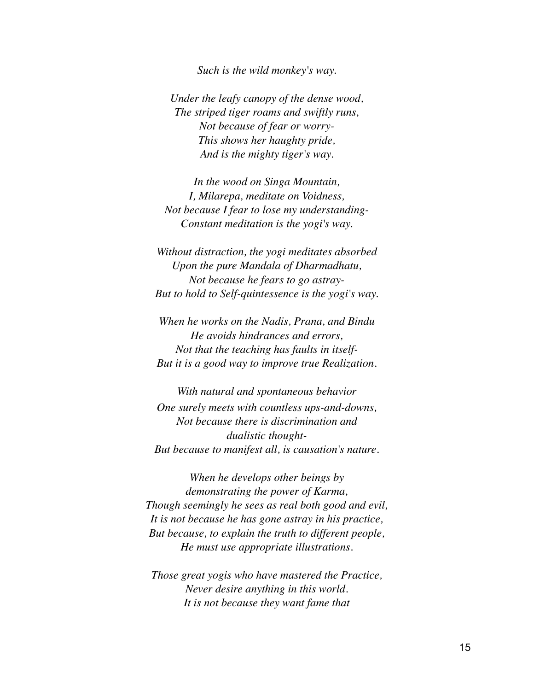*Such is the wild monkey's way.* 

*Under the leafy canopy of the dense wood, The striped tiger roams and swiftly runs, Not because of fear or worry-This shows her haughty pride, And is the mighty tiger's way.* 

*In the wood on Singa Mountain, I, Milarepa, meditate on Voidness, Not because I fear to lose my understanding-Constant meditation is the yogi's way.* 

*Without distraction, the yogi meditates absorbed Upon the pure Mandala of Dharmadhatu, Not because he fears to go astray-But to hold to Self-quintessence is the yogi's way.* 

*When he works on the Nadis, Prana, and Bindu He avoids hindrances and errors, Not that the teaching has faults in itself-But it is a good way to improve true Realization.* 

*With natural and spontaneous behavior One surely meets with countless ups-and-downs, Not because there is discrimination and dualistic thought-But because to manifest all, is causation's nature.* 

*When he develops other beings by demonstrating the power of Karma, Though seemingly he sees as real both good and evil, It is not because he has gone astray in his practice, But because, to explain the truth to different people, He must use appropriate illustrations.* 

*Those great yogis who have mastered the Practice, Never desire anything in this world. It is not because they want fame that*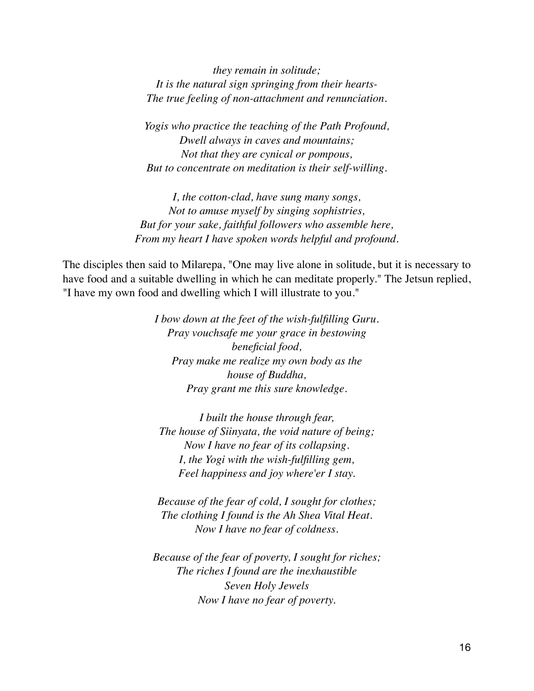*they remain in solitude; It is the natural sign springing from their hearts-The true feeling of non-attachment and renunciation.* 

*Yogis who practice the teaching of the Path Profound, Dwell always in caves and mountains; Not that they are cynical or pompous, But to concentrate on meditation is their self-willing.* 

*I, the cotton-clad, have sung many songs, Not to amuse myself by singing sophistries, But for your sake, faithful followers who assemble here, From my heart I have spoken words helpful and profound.* 

The disciples then said to Milarepa, "One may live alone in solitude, but it is necessary to have food and a suitable dwelling in which he can meditate properly." The Jetsun replied, "I have my own food and dwelling which I will illustrate to you."

> *I bow down at the feet of the wish-fulfilling Guru. Pray vouchsafe me your grace in bestowing beneficial food, Pray make me realize my own body as the house of Buddha, Pray grant me this sure knowledge.*

*I built the house through fear, The house of Siinyata, the void nature of being; Now I have no fear of its collapsing. I, the Yogi with the wish-fulfilling gem, Feel happiness and joy where'er I stay.* 

*Because of the fear of cold, I sought for clothes; The clothing I found is the Ah Shea Vital Heat. Now I have no fear of coldness.* 

*Because of the fear of poverty, I sought for riches; The riches I found are the inexhaustible Seven Holy Jewels Now I have no fear of poverty.*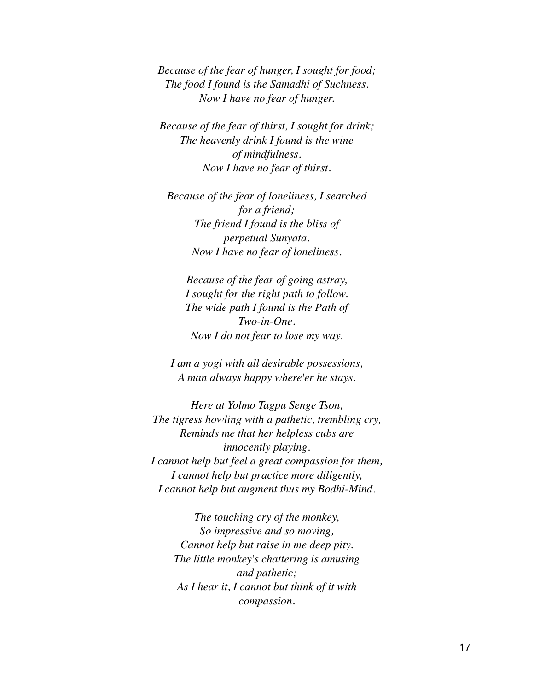*Because of the fear of hunger, I sought for food; The food I found is the Samadhi of Suchness. Now I have no fear of hunger.* 

*Because of the fear of thirst, I sought for drink; The heavenly drink I found is the wine of mindfulness. Now I have no fear of thirst.* 

*Because of the fear of loneliness, I searched for a friend; The friend I found is the bliss of perpetual Sunyata. Now I have no fear of loneliness.* 

*Because of the fear of going astray, I sought for the right path to follow. The wide path I found is the Path of Two-in-One. Now I do not fear to lose my way.* 

*I am a yogi with all desirable possessions, A man always happy where'er he stays.* 

*Here at Yolmo Tagpu Senge Tson, The tigress howling with a pathetic, trembling cry, Reminds me that her helpless cubs are innocently playing. I cannot help but feel a great compassion for them, I cannot help but practice more diligently, I cannot help but augment thus my Bodhi-Mind.* 

> *The touching cry of the monkey, So impressive and so moving, Cannot help but raise in me deep pity. The little monkey's chattering is amusing and pathetic; As I hear it, I cannot but think of it with compassion.*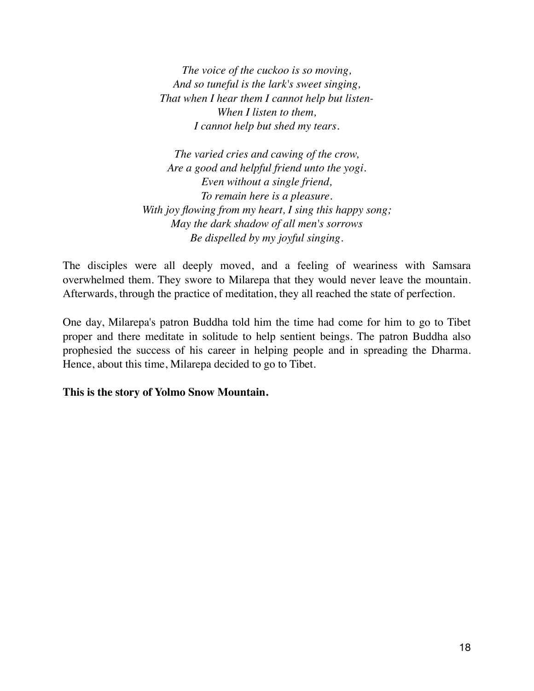*The voice of the cuckoo is so moving, And so tuneful is the lark's sweet singing, That when I hear them I cannot help but listen-When I listen to them, I cannot help but shed my tears.* 

*The varied cries and cawing of the crow, Are a good and helpful friend unto the yogi. Even without a single friend, To remain here is a pleasure. With joy flowing from my heart, I sing this happy song; May the dark shadow of all men's sorrows Be dispelled by my joyful singing.* 

The disciples were all deeply moved, and a feeling of weariness with Samsara overwhelmed them. They swore to Milarepa that they would never leave the mountain. Afterwards, through the practice of meditation, they all reached the state of perfection.

One day, Milarepa's patron Buddha told him the time had come for him to go to Tibet proper and there meditate in solitude to help sentient beings. The patron Buddha also prophesied the success of his career in helping people and in spreading the Dharma. Hence, about this time, Milarepa decided to go to Tibet.

### **This is the story of Yolmo Snow Mountain.**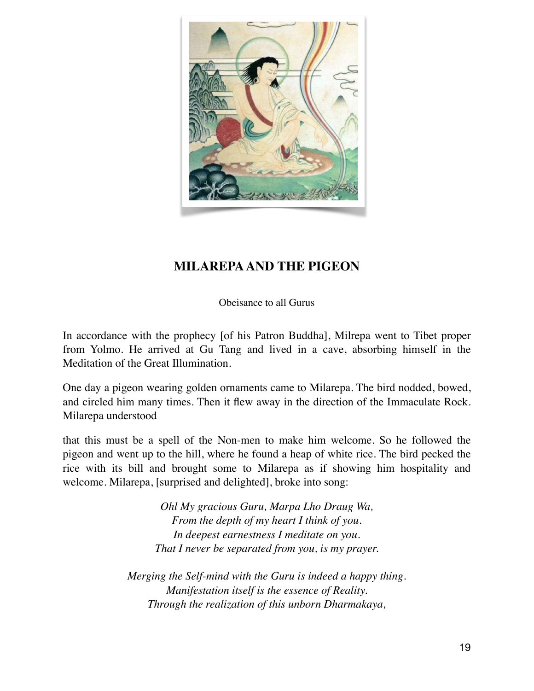

## **MILAREPA AND THE PIGEON**

Obeisance to all Gurus

In accordance with the prophecy [of his Patron Buddha], Milrepa went to Tibet proper from Yolmo. He arrived at Gu Tang and lived in a cave, absorbing himself in the Meditation of the Great Illumination.

One day a pigeon wearing golden ornaments came to Milarepa. The bird nodded, bowed, and circled him many times. Then it flew away in the direction of the Immaculate Rock. Milarepa understood

that this must be a spell of the Non-men to make him welcome. So he followed the pigeon and went up to the hill, where he found a heap of white rice. The bird pecked the rice with its bill and brought some to Milarepa as if showing him hospitality and welcome. Milarepa, [surprised and delighted], broke into song:

> *Ohl My gracious Guru, Marpa Lho Draug Wa, From the depth of my heart I think of you. In deepest earnestness I meditate on you. That I never be separated from you, is my prayer.*

*Merging the Self-mind with the Guru is indeed a happy thing. Manifestation itself is the essence of Reality. Through the realization of this unborn Dharmakaya,*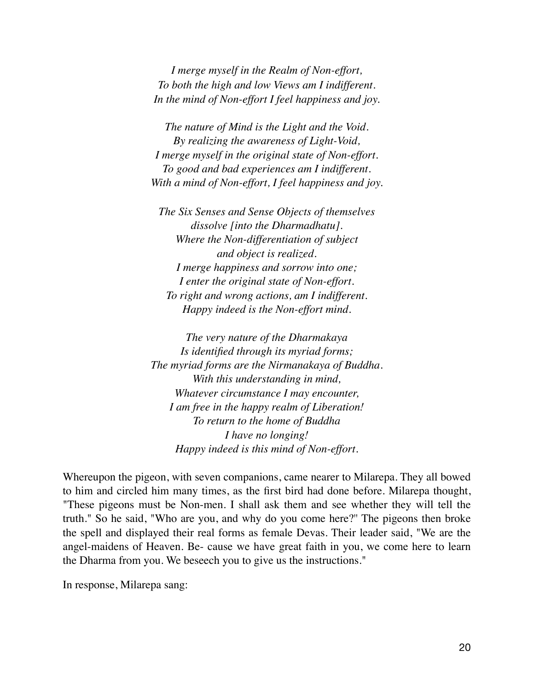*I merge myself in the Realm of Non-effort, To both the high and low Views am I indifferent. In the mind of Non-effort I feel happiness and joy.* 

*The nature of Mind is the Light and the Void. By realizing the awareness of Light-Void, I merge myself in the original state of Non-effort. To good and bad experiences am I indifferent. With a mind of Non-effort, I feel happiness and joy.* 

*The Six Senses and Sense Objects of themselves dissolve [into the Dharmadhatu]. Where the Non-differentiation of subject and object is realized. I merge happiness and sorrow into one; I enter the original state of Non-effort. To right and wrong actions, am I indifferent. Happy indeed is the Non-effort mind.* 

*The very nature of the Dharmakaya Is identified through its myriad forms; The myriad forms are the Nirmanakaya of Buddha. With this understanding in mind, Whatever circumstance I may encounter, I am free in the happy realm of Liberation! To return to the home of Buddha I have no longing! Happy indeed is this mind of Non-effort.* 

Whereupon the pigeon, with seven companions, came nearer to Milarepa. They all bowed to him and circled him many times, as the first bird had done before. Milarepa thought, "These pigeons must be Non-men. I shall ask them and see whether they will tell the truth." So he said, "Who are you, and why do you come here?'' The pigeons then broke the spell and displayed their real forms as female Devas. Their leader said, "We are the angel-maidens of Heaven. Be- cause we have great faith in you, we come here to learn the Dharma from you. We beseech you to give us the instructions."

In response, Milarepa sang: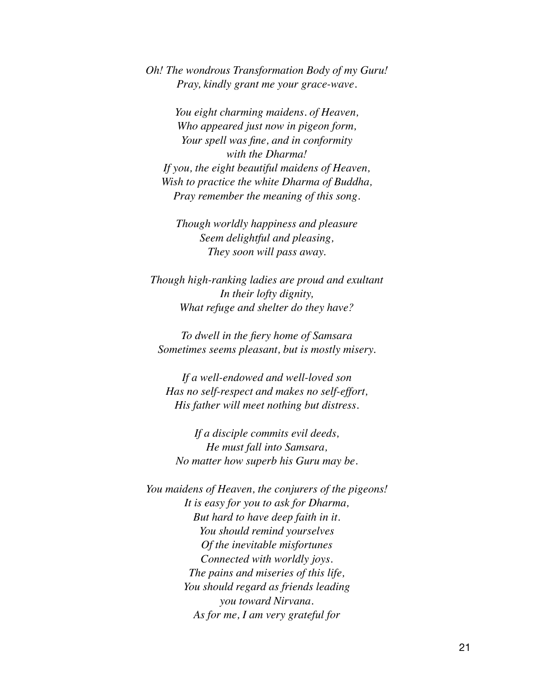*Oh! The wondrous Transformation Body of my Guru! Pray, kindly grant me your grace-wave.* 

*You eight charming maidens. of Heaven, Who appeared just now in pigeon form, Your spell was fine, and in conformity with the Dharma! If you, the eight beautiful maidens of Heaven, Wish to practice the white Dharma of Buddha, Pray remember the meaning of this song.* 

*Though worldly happiness and pleasure Seem delightful and pleasing, They soon will pass away.* 

*Though high-ranking ladies are proud and exultant In their lofty dignity, What refuge and shelter do they have?* 

*To dwell in the fiery home of Samsara Sometimes seems pleasant, but is mostly misery.* 

*If a well-endowed and well-loved son Has no self-respect and makes no self-effort, His father will meet nothing but distress.* 

*If a disciple commits evil deeds, He must fall into Samsara, No matter how superb his Guru may be.* 

*You maidens of Heaven, the conjurers of the pigeons! It is easy for you to ask for Dharma, But hard to have deep faith in it. You should remind yourselves Of the inevitable misfortunes Connected with worldly joys. The pains and miseries of this life, You should regard as friends leading you toward Nirvana. As for me, I am very grateful for*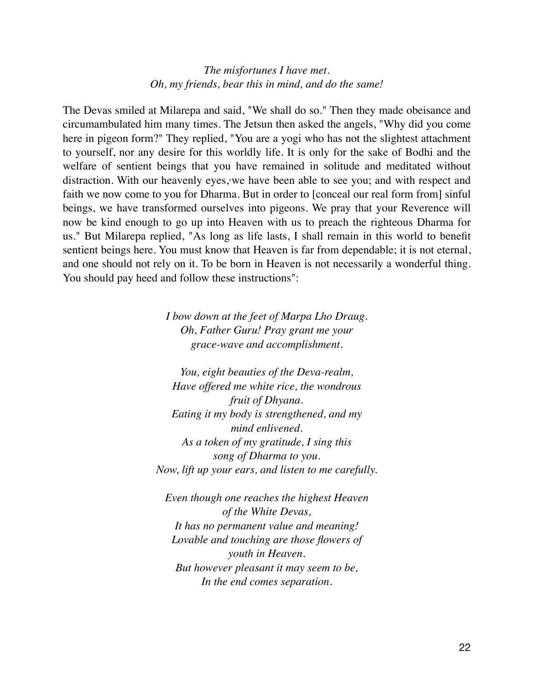#### *The misfortunes I have met. Oh, my friends, bear this in mind, and do the same!*

The Devas smiled at Milarepa and said, "We shall do so." Then they made obeisance and circumambulated him many times. The Jetsun then asked the angels, "Why did you come here in pigeon form?" They replied, "You are a yogi who has not the slightest attachment to yourself, nor any desire for this worldly life. It is only for the sake of Bodhi and the welfare of sentient beings that you have remained in solitude and meditated without distraction. With our heavenly eyes, we have been able to see you; and with respect and faith we now come to you for Dharma. But in order to [conceal our real form from] sinful beings, we have transformed ourselves into pigeons. We pray that your Reverence will now be kind enough to go up into Heaven with us to preach the righteous Dharma for us." But Milarepa replied, "As long as life lasts, I shall remain in this world to benefit sentient beings here. You must know that Heaven is far from dependable; it is not eternal, and one should not rely on it. To be born in Heaven is not necessarily a wonderful thing. You should pay heed and follow these instructions":

> *I bow down at the feet of Marpa Lho Draug. Oh, Father Guru! Pray grant me your grace-wave and accomplishment.*

*You, eight beauties of the Deva-realm, Have offered me white rice, the wondrous fruit of Dhyana. Eating it my body is strengthened, and my mind enlivened. As a token of my gratitude, I sing this song of Dharma to you. Now, lift up your ears, and listen to me carefully.* 

*Even though one reaches the highest Heaven of the White Devas, It has no permanent value and meaning! Lovable and touching are those flowers of youth in Heaven. But however pleasant it may seem to be, In the end comes separation.*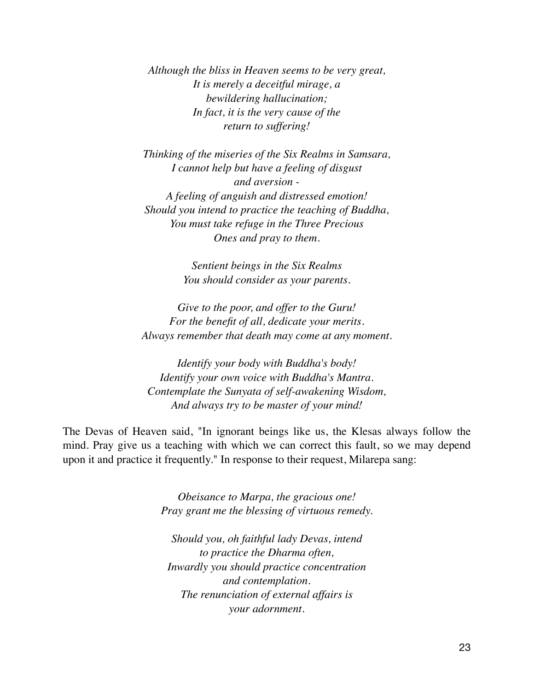*Although the bliss in Heaven seems to be very great, It is merely a deceitful mirage, a bewildering hallucination; In fact, it is the very cause of the return to suffering!* 

*Thinking of the miseries of the Six Realms in Samsara, I cannot help but have a feeling of disgust and aversion - A feeling of anguish and distressed emotion! Should you intend to practice the teaching of Buddha, You must take refuge in the Three Precious Ones and pray to them.* 

> *Sentient beings in the Six Realms You should consider as your parents.*

*Give to the poor, and offer to the Guru! For the benefit of all, dedicate your merits. Always remember that death may come at any moment.* 

*Identify your body with Buddha's body! Identify your own voice with Buddha's Mantra. Contemplate the Sunyata of self-awakening Wisdom, And always try to be master of your mind!* 

The Devas of Heaven said, "In ignorant beings like us, the Klesas always follow the mind. Pray give us a teaching with which we can correct this fault, so we may depend upon it and practice it frequently." In response to their request, Milarepa sang:

> *Obeisance to Marpa, the gracious one! Pray grant me the blessing of virtuous remedy.*

*Should you, oh faithful lady Devas, intend to practice the Dharma often, Inwardly you should practice concentration and contemplation. The renunciation of external affairs is your adornment.*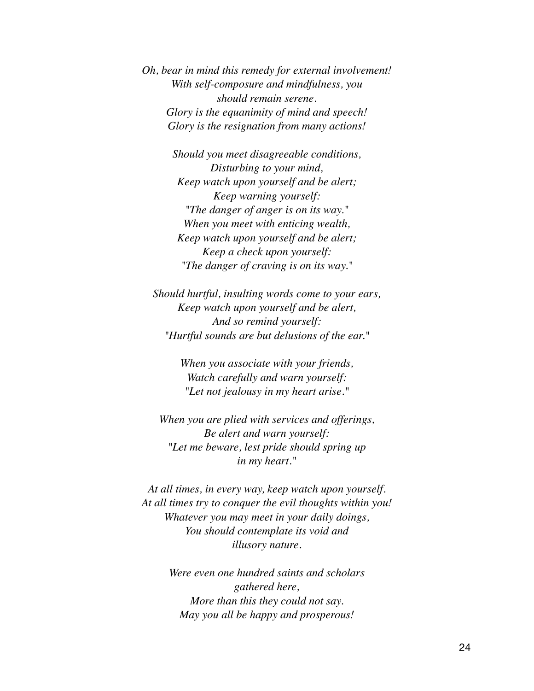*Oh, bear in mind this remedy for external involvement! With self-composure and mindfulness, you should remain serene. Glory is the equanimity of mind and speech! Glory is the resignation from many actions!* 

> *Should you meet disagreeable conditions, Disturbing to your mind, Keep watch upon yourself and be alert; Keep warning yourself: "The danger of anger is on its way." When you meet with enticing wealth, Keep watch upon yourself and be alert; Keep a check upon yourself: "The danger of craving is on its way."*

*Should hurtful, insulting words come to your ears, Keep watch upon yourself and be alert, And so remind yourself: "Hurtful sounds are but delusions of the ear."* 

> *When you associate with your friends, Watch carefully and warn yourself: "Let not jealousy in my heart arise."*

*When you are plied with services and offerings, Be alert and warn yourself: "Let me beware, lest pride should spring up in my heart."* 

*At all times, in every way, keep watch upon yourself. At all times try to conquer the evil thoughts within you! Whatever you may meet in your daily doings, You should contemplate its void and illusory nature.* 

> *Were even one hundred saints and scholars gathered here, More than this they could not say. May you all be happy and prosperous!*